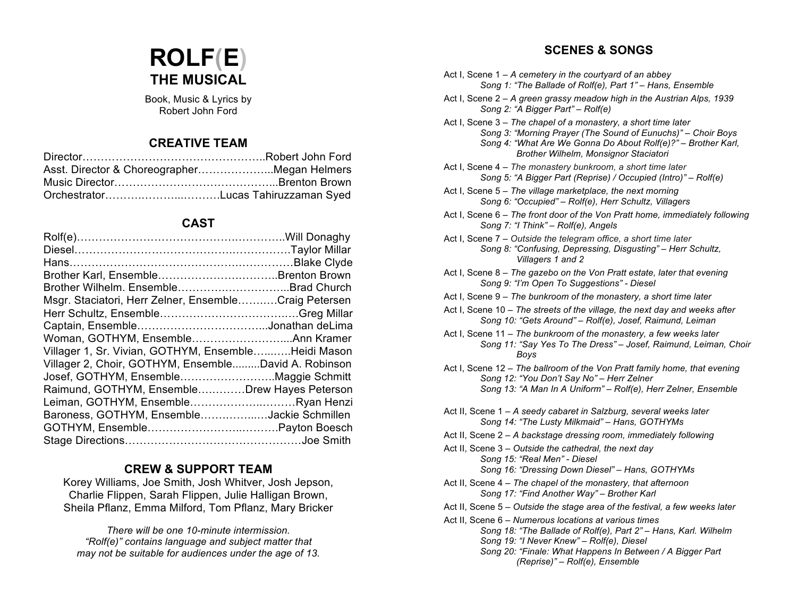# **ROLF(E) THE MUSICAL**

Book, Music & Lyrics by Robert John Ford

#### **CREATIVE TEAM**

| Asst. Director & ChoreographerMegan Helmers |  |
|---------------------------------------------|--|
|                                             |  |
|                                             |  |

#### **CAST**

| Msgr. Staciatori, Herr Zelner, EnsembleCraig Petersen |  |
|-------------------------------------------------------|--|
|                                                       |  |
|                                                       |  |
|                                                       |  |
| Villager 1, Sr. Vivian, GOTHYM, EnsembleHeidi Mason   |  |
| Villager 2, Choir, GOTHYM, EnsembleDavid A. Robinson  |  |
| Josef, GOTHYM, EnsembleMaggie Schmitt                 |  |
| Raimund, GOTHYM, EnsembleDrew Hayes Peterson          |  |
| Leiman, GOTHYM, EnsembleRyan Henzi                    |  |
| Baroness, GOTHYM, EnsembleJackie Schmillen            |  |
|                                                       |  |
|                                                       |  |

#### **CREW & SUPPORT TEAM**

Korey Williams, Joe Smith, Josh Whitver, Josh Jepson, Charlie Flippen, Sarah Flippen, Julie Halligan Brown, Sheila Pflanz, Emma Milford, Tom Pflanz, Mary Bricker

*There will be one 10-minute intermission. "Rolf(e)" contains language and subject matter that may not be suitable for audiences under the age of 13.*

#### **SCENES & SONGS**

- Act I, Scene 1 *A cemetery in the courtyard of an abbey Song 1: "The Ballade of Rolf(e), Part 1" – Hans, Ensemble*
- Act I, Scene 2 *A green grassy meadow high in the Austrian Alps, 1939 Song 2: "A Bigger Part" – Rolf(e)*
- Act I, Scene 3 *The chapel of a monastery, a short time later Song 3: "Morning Prayer (The Sound of Eunuchs)" – Choir Boys Song 4: "What Are We Gonna Do About Rolf(e)?" – Brother Karl, Brother Wilhelm, Monsignor Staciatori*
- Act I, Scene 4 *The monastery bunkroom, a short time later Song 5: "A Bigger Part (Reprise) / Occupied (Intro)" – Rolf(e)*
- Act I, Scene 5 *The village marketplace, the next morning Song 6: "Occupied" – Rolf(e), Herr Schultz, Villagers*
- Act I, Scene 6 *The front door of the Von Pratt home, immediately following Song 7: "I Think" – Rolf(e), Angels*
- Act I, Scene 7 *Outside the telegram office, a short time later Song 8: "Confusing, Depressing, Disgusting" – Herr Schultz, Villagers 1 and 2*
- Act I, Scene 8 *The gazebo on the Von Pratt estate, later that evening Song 9: "I'm Open To Suggestions" - Diesel*
- Act I, Scene 9 *The bunkroom of the monastery, a short time later*
- Act I, Scene 10 *The streets of the village, the next day and weeks after Song 10: "Gets Around" – Rolf(e), Josef, Raimund, Leiman*
- Act I, Scene 11 *The bunkroom of the monastery, a few weeks later Song 11: "Say Yes To The Dress" – Josef, Raimund, Leiman, Choir Boys*
- Act I, Scene 12 *The ballroom of the Von Pratt family home, that evening Song 12: "You Don't Say No" – Herr Zelner Song 13: "A Man In A Uniform" – Rolf(e), Herr Zelner, Ensemble*
- Act II, Scene 1 *A seedy cabaret in Salzburg, several weeks later Song 14: "The Lusty Milkmaid" – Hans, GOTHYMs*
- Act II, Scene 2 *A backstage dressing room, immediately following*
- Act II, Scene 3 *Outside the cathedral, the next day Song 15: "Real Men" - Diesel Song 16: "Dressing Down Diesel" – Hans, GOTHYMs*
- Act II, Scene 4 *The chapel of the monastery, that afternoon Song 17: "Find Another Way" – Brother Karl*
- Act II, Scene 5 *Outside the stage area of the festival, a few weeks later*
- Act II, Scene 6 *Numerous locations at various times Song 18: "The Ballade of Rolf(e), Part 2" – Hans, Karl. Wilhelm Song 19: "I Never Knew" – Rolf(e), Diesel Song 20: "Finale: What Happens In Between / A Bigger Part (Reprise)" – Rolf(e), Ensemble*